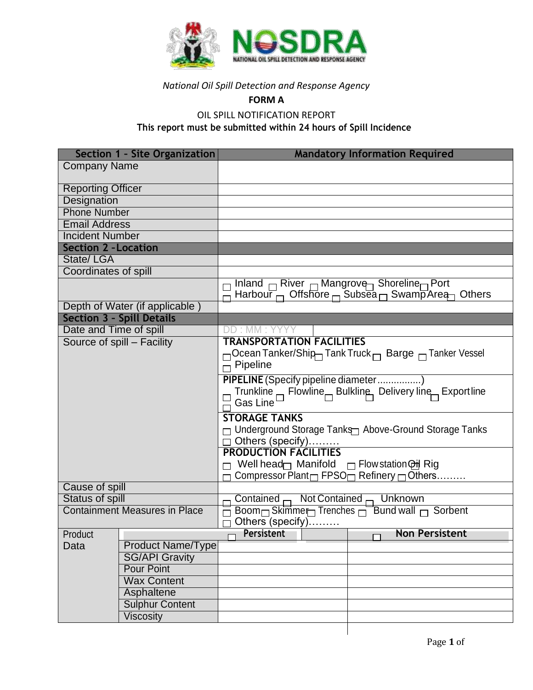

## *National Oil Spill Detection and Response Agency*

**FORM A**

OIL SPILL NOTIFICATION REPORT

**This report must be submitted within 24 hours of Spill Incidence**

| <b>Section 1 - Site Organization</b> |                                  | <b>Mandatory Information Required</b>                                                                                                                             |                                                                        |
|--------------------------------------|----------------------------------|-------------------------------------------------------------------------------------------------------------------------------------------------------------------|------------------------------------------------------------------------|
| <b>Company Name</b>                  |                                  |                                                                                                                                                                   |                                                                        |
| <b>Reporting Officer</b>             |                                  |                                                                                                                                                                   |                                                                        |
| Designation                          |                                  |                                                                                                                                                                   |                                                                        |
| <b>Phone Number</b>                  |                                  |                                                                                                                                                                   |                                                                        |
| <b>Email Address</b>                 |                                  |                                                                                                                                                                   |                                                                        |
| <b>Incident Number</b>               |                                  |                                                                                                                                                                   |                                                                        |
| <b>Section 2 - Location</b>          |                                  |                                                                                                                                                                   |                                                                        |
| State/LGA                            |                                  |                                                                                                                                                                   |                                                                        |
| Coordinates of spill                 |                                  |                                                                                                                                                                   |                                                                        |
|                                      |                                  | Inland <sub>n</sub> River <sub>n</sub> Mangrove <sub>n</sub> Shoreline <sub>n</sub> Port<br>Harbour $\Box$ Offshore $\Box$ Subsea $\Box$ Swamp Area $\Box$ Others |                                                                        |
|                                      | Depth of Water (if applicable)   |                                                                                                                                                                   |                                                                        |
|                                      | <b>Section 3 - Spill Details</b> |                                                                                                                                                                   |                                                                        |
| Date and Time of spill               |                                  | DD: MM: YYYY                                                                                                                                                      |                                                                        |
|                                      | Source of spill - Facility       | <b>TRANSPORTATION FACILITIES</b>                                                                                                                                  |                                                                        |
|                                      |                                  | ┌┐Осеаn Tanker/Ship┬ Tank Truck┌┐ Barge ┌┐ Tanker Vessel<br>$\overline{\Box}$ Pipeline                                                                            |                                                                        |
|                                      |                                  | PIPELINE (Specify pipeline diameter )                                                                                                                             |                                                                        |
|                                      |                                  |                                                                                                                                                                   | $Trunkline \n\prod$ Flowline $\prod$ Bulkline Delivery line Exportline |
|                                      |                                  | Gas Line <sup>L</sup>                                                                                                                                             |                                                                        |
|                                      |                                  | <b>STORAGE TANKS</b>                                                                                                                                              |                                                                        |
|                                      |                                  | □ Underground Storage Tanks Above-Ground Storage Tanks                                                                                                            |                                                                        |
|                                      |                                  | Others (specify)                                                                                                                                                  |                                                                        |
|                                      |                                  | <b>PRODUCTION FACILITIES</b>                                                                                                                                      |                                                                        |
|                                      |                                  | $\Box$ Well head $\Box$ Manifold $\Box$ Flow station $\Diamond$ if Rig                                                                                            |                                                                        |
|                                      |                                  | Compressor Plant <sub>□</sub> FPSO <sub>□</sub> Refinery □ Others                                                                                                 |                                                                        |
| Cause of spill                       |                                  |                                                                                                                                                                   |                                                                        |
| <b>Status of spill</b>               |                                  | Contained $\Box$ Not Contained $\Box$ Unknown                                                                                                                     |                                                                        |
| <b>Containment Measures in Place</b> |                                  | Boom Skimmer Trenches Bund wall G Sorbent<br>Others (specify)                                                                                                     |                                                                        |
| Product                              |                                  | Persistent                                                                                                                                                        | <b>Non Persistent</b><br>п                                             |
| Data                                 | <b>Product Name/Type</b>         |                                                                                                                                                                   |                                                                        |
|                                      | <b>SG/API Gravity</b>            |                                                                                                                                                                   |                                                                        |
|                                      | <b>Pour Point</b>                |                                                                                                                                                                   |                                                                        |
|                                      | <b>Wax Content</b>               |                                                                                                                                                                   |                                                                        |
|                                      | Asphaltene                       |                                                                                                                                                                   |                                                                        |
|                                      | <b>Sulphur Content</b>           |                                                                                                                                                                   |                                                                        |
|                                      | <b>Viscosity</b>                 |                                                                                                                                                                   |                                                                        |
|                                      |                                  |                                                                                                                                                                   |                                                                        |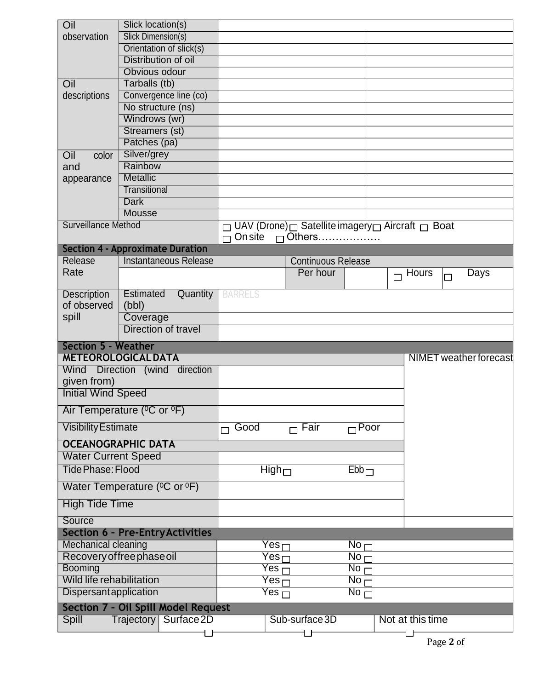| Oil                             | Slick location(s)                                     |                                     |                           |                         |                                                   |
|---------------------------------|-------------------------------------------------------|-------------------------------------|---------------------------|-------------------------|---------------------------------------------------|
| observation                     | Slick Dimension(s)                                    |                                     |                           |                         |                                                   |
|                                 | Orientation of slick(s)                               |                                     |                           |                         |                                                   |
|                                 | <b>Distribution of oil</b>                            |                                     |                           |                         |                                                   |
|                                 | <b>Obvious odour</b>                                  |                                     |                           |                         |                                                   |
| Oil                             | Tarballs (tb)                                         |                                     |                           |                         |                                                   |
| descriptions                    | Convergence line (co)                                 |                                     |                           |                         |                                                   |
|                                 | No structure (ns)                                     |                                     |                           |                         |                                                   |
|                                 | Windrows (wr)                                         |                                     |                           |                         |                                                   |
|                                 | Streamers (st)                                        |                                     |                           |                         |                                                   |
|                                 | Patches (pa)                                          |                                     |                           |                         |                                                   |
|                                 | Silver/grey                                           |                                     |                           |                         |                                                   |
| Oil<br>color                    |                                                       |                                     |                           |                         |                                                   |
| and                             | Rainbow                                               |                                     |                           |                         |                                                   |
| appearance                      | <b>Metallic</b>                                       |                                     |                           |                         |                                                   |
|                                 | <b>Transitional</b>                                   |                                     |                           |                         |                                                   |
|                                 | <b>Dark</b>                                           |                                     |                           |                         |                                                   |
|                                 | <b>Mousse</b>                                         |                                     |                           |                         |                                                   |
| <b>Surveillance Method</b>      |                                                       |                                     |                           |                         | □ UAV (Drone)□ Satellite imagery□ Aircraft □ Boat |
|                                 |                                                       | On site                             | $\Box$ Others             |                         |                                                   |
|                                 | <b>Section 4 - Approximate Duration</b>               |                                     |                           |                         |                                                   |
| Release                         | <b>Instantaneous Release</b>                          |                                     | <b>Continuous Release</b> |                         |                                                   |
| Rate                            |                                                       |                                     | Per hour                  |                         | Days<br>Hours                                     |
|                                 |                                                       |                                     |                           |                         |                                                   |
| <b>Description</b>              | <b>Estimated</b><br>Quantity                          | <b>BARRELS</b>                      |                           |                         |                                                   |
| of observed                     | (bbl)                                                 |                                     |                           |                         |                                                   |
| spill                           | Coverage                                              |                                     |                           |                         |                                                   |
|                                 | <b>Direction of travel</b>                            |                                     |                           |                         |                                                   |
|                                 |                                                       |                                     |                           |                         |                                                   |
|                                 |                                                       |                                     |                           |                         |                                                   |
| <b>Section 5 - Weather</b>      |                                                       |                                     |                           |                         |                                                   |
|                                 | <b>METEOROLOGICAL DATA</b>                            |                                     |                           |                         | <b>NIMET</b> weather forecast                     |
| Wind                            | Direction (wind direction                             |                                     |                           |                         |                                                   |
| given from)                     |                                                       |                                     |                           |                         |                                                   |
| <b>Initial Wind Speed</b>       |                                                       |                                     |                           |                         |                                                   |
|                                 | Air Temperature ( <sup>O</sup> C or <sup>O</sup> F)   |                                     |                           |                         |                                                   |
| <b>Visibility Estimate</b>      |                                                       | Good                                | Fair                      | ⊤Poor                   |                                                   |
|                                 |                                                       |                                     |                           |                         |                                                   |
|                                 | <b>OCEANOGRAPHIC DATA</b>                             |                                     |                           |                         |                                                   |
| <b>Water Current Speed</b>      |                                                       |                                     |                           |                         |                                                   |
| <b>Tide Phase: Flood</b>        |                                                       | High $\sqcap$                       |                           | $Ebb_{\Box}$            |                                                   |
|                                 | Water Temperature ( <sup>O</sup> C or <sup>O</sup> F) |                                     |                           |                         |                                                   |
| <b>High Tide Time</b>           |                                                       |                                     |                           |                         |                                                   |
| Source                          |                                                       |                                     |                           |                         |                                                   |
|                                 | <b>Section 6 - Pre-Entry Activities</b>               |                                     |                           |                         |                                                   |
| <b>Mechanical cleaning</b>      |                                                       |                                     |                           |                         |                                                   |
|                                 |                                                       | Yes $\sqcap$                        |                           | No $\sqcap$             |                                                   |
|                                 | Recovery of free phase oil                            | $\overline{\mathsf{Yes}}_\Box$      |                           | No <sub>1</sub>         |                                                   |
| <b>Booming</b>                  |                                                       | $\overline{\mathsf{Yes}} \, \sqcap$ |                           | No $\Box$               |                                                   |
| <b>Wild life rehabilitation</b> |                                                       | $\overline{\mathsf{Yes}}_\Box$      |                           | No $\sqcap$             |                                                   |
| <b>Dispersantapplication</b>    |                                                       | $\overline{\mathsf{Yes}} \sqcap$    |                           | $\overline{N}$ o $\Box$ |                                                   |
|                                 | <b>Section 7 - Oil Spill Model Request</b>            |                                     |                           |                         |                                                   |
| Spill                           | Surface 2D<br><b>Trajectory</b>                       |                                     | Sub-surface 3D            |                         | Not at this time                                  |